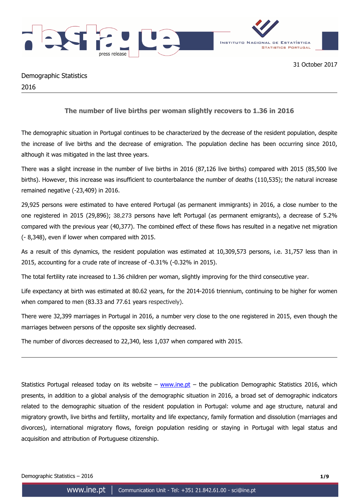



# Demographic Statistics 2016

## **The number of live births per woman slightly recovers to 1.36 in 2016**

The demographic situation in Portugal continues to be characterized by the decrease of the resident population, despite the increase of live births and the decrease of emigration. The population decline has been occurring since 2010, although it was mitigated in the last three years.

There was a slight increase in the number of live births in 2016 (87,126 live births) compared with 2015 (85,500 live births). However, this increase was insufficient to counterbalance the number of deaths (110,535); the natural increase remained negative (-23,409) in 2016.

29,925 persons were estimated to have entered Portugal (as permanent immigrants) in 2016, a close number to the one registered in 2015 (29,896); 38,273 persons have left Portugal (as permanent emigrants), a decrease of 5.2% compared with the previous year (40,377). The combined effect of these flows has resulted in a negative net migration (- 8,348), even if lower when compared with 2015.

As a result of this dynamics, the resident population was estimated at 10,309,573 persons, i.e. 31,757 less than in 2015, accounting for a crude rate of increase of -0.31% (-0.32% in 2015).

The total fertility rate increased to 1.36 children per woman, slightly improving for the third consecutive year.

Life expectancy at birth was estimated at 80.62 years, for the 2014-2016 triennium, continuing to be higher for women when compared to men (83.33 and 77.61 years respectively).

There were 32,399 marriages in Portugal in 2016, a number very close to the one registered in 2015, even though the marriages between persons of the opposite sex slightly decreased.

The number of divorces decreased to 22,340, less 1,037 when compared with 2015.

Statistics Portugal released today on its website – www.ine.pt – the publication Demographic Statistics 2016, which presents, in addition to a global analysis of the demographic situation in 2016, a broad set of demographic indicators related to the demographic situation of the resident population in Portugal: volume and age structure, natural and migratory growth, live births and fertility, mortality and life expectancy, family formation and dissolution (marriages and divorces), international migratory flows, foreign population residing or staying in Portugal with legal status and acquisition and attribution of Portuguese citizenship.

Demographic Statistics – 2016 **1/9**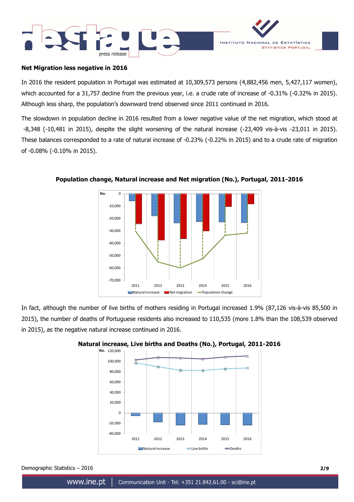



## **Net Migration less negative in 2016**

In 2016 the resident population in Portugal was estimated at 10,309,573 persons (4,882,456 men, 5,427,117 women), which accounted for a 31,757 decline from the previous year, i.e. a crude rate of increase of -0.31% (-0.32% in 2015). Although less sharp, the population's downward trend observed since 2011 continued in 2016.

The slowdown in population decline in 2016 resulted from a lower negative value of the net migration, which stood at -8,348 (-10,481 in 2015), despite the slight worsening of the natural increase (-23,409 vis-à-vis -23,011 in 2015). These balances corresponded to a rate of natural increase of -0.23% (-0.22% in 2015) and to a crude rate of migration of -0.08% (-0.10% in 2015).



**Population change, Natural increase and Net migration (No.), Portugal, 2011-2016** 

In fact, although the number of live births of mothers residing in Portugal increased 1.9% (87,126 vis-à-vis 85,500 in 2015), the number of deaths of Portuguese residents also increased to 110,535 (more 1.8% than the 108,539 observed in 2015), as the negative natural increase continued in 2016.



## **Natural increase, Live births and Deaths (No.), Portugal, 2011-2016**

Demographic Statistics – 2016 **2/9**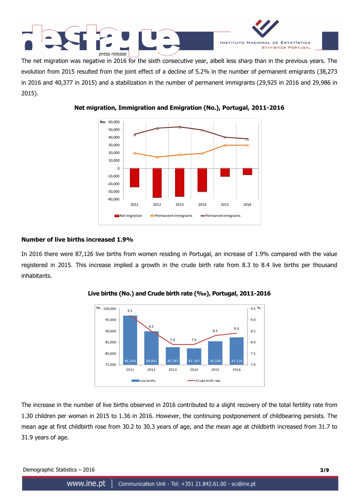



The net migration was negative in 2016 for the sixth consecutive year, albeit less sharp than in the previous years. The evolution from 2015 resulted from the joint effect of a decline of 5.2% in the number of permanent emigrants (38,273 in 2016 and 40,377 in 2015) and a stabilization in the number of permanent immigrants (29,925 in 2016 and 29,986 in 2015).



**Net migration, Immigration and Emigration (No.), Portugal, 2011-2016** 

## **Number of live births increased 1.9%**

In 2016 there were 87,126 live births from women residing in Portugal, an increase of 1.9% compared with the value registered in 2015. This increase implied a growth in the crude birth rate from 8.3 to 8.4 live births per thousand inhabitants.



**Live births (No.) and Crude birth rate (‰), Portugal, 2011-2016** 

The increase in the number of live births observed in 2016 contributed to a slight recovery of the total fertility rate from 1.30 children per woman in 2015 to 1.36 in 2016. However, the continuing postponement of childbearing persists. The mean age at first childbirth rose from 30.2 to 30.3 years of age, and the mean age at childbirth increased from 31.7 to 31.9 years of age.

Demographic Statistics – 2016 **3/9**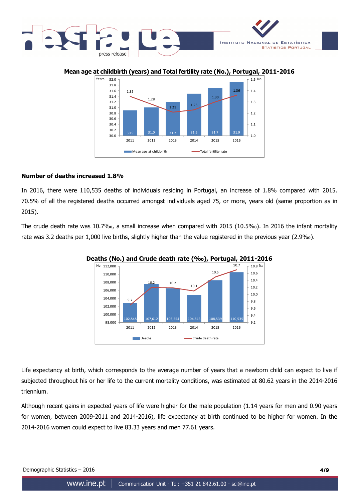

## **Mean age at childbirth (years) and Total fertility rate (No.), Portugal, 2011-2016**



## **Number of deaths increased 1.8%**

In 2016, there were 110,535 deaths of individuals residing in Portugal, an increase of 1.8% compared with 2015. 70.5% of all the registered deaths occurred amongst individuals aged 75, or more, years old (same proportion as in 2015).

The crude death rate was 10.7‰, a small increase when compared with 2015 (10.5‰). In 2016 the infant mortality rate was 3.2 deaths per 1,000 live births, slightly higher than the value registered in the previous year (2.9‰).



**Deaths (No.) and Crude death rate (‰), Portugal, 2011-2016** 

Life expectancy at birth, which corresponds to the average number of years that a newborn child can expect to live if subjected throughout his or her life to the current mortality conditions, was estimated at 80.62 years in the 2014-2016 triennium.

Although recent gains in expected years of life were higher for the male population (1.14 years for men and 0.90 years for women, between 2009-2011 and 2014-2016), life expectancy at birth continued to be higher for women. In the 2014-2016 women could expect to live 83.33 years and men 77.61 years.

Demographic Statistics – 2016 **4/9**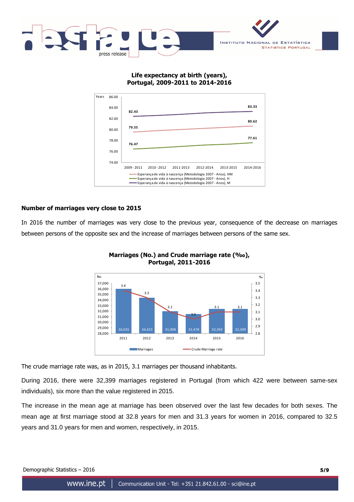

## **Life expectancy at birth (years), Portugal, 2009-2011 to 2014-2016**



## **Number of marriages very close to 2015**

In 2016 the number of marriages was very close to the previous year, consequence of the decrease on marriages between persons of the opposite sex and the increase of marriages between persons of the same sex.



**Marriages (No.) and Crude marriage rate (‰), Portugal, 2011-2016**

The crude marriage rate was, as in 2015, 3.1 marriages per thousand inhabitants.

During 2016, there were 32,399 marriages registered in Portugal (from which 422 were between same-sex individuals), six more than the value registered in 2015.

The increase in the mean age at marriage has been observed over the last few decades for both sexes. The mean age at first marriage stood at 32.8 years for men and 31.3 years for women in 2016, compared to 32.5 years and 31.0 years for men and women, respectively, in 2015.

Demographic Statistics – 2016 **5/9**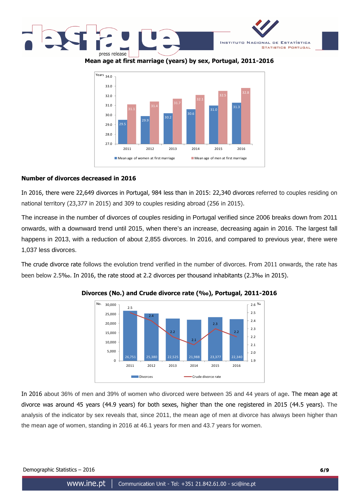



**Mean age at first marriage (years) by sex, Portugal, 2011-2016** 



## **Number of divorces decreased in 2016**

In 2016, there were 22,649 divorces in Portugal, 984 less than in 2015: 22,340 divorces referred to couples residing on national territory (23,377 in 2015) and 309 to couples residing abroad (256 in 2015).

The increase in the number of divorces of couples residing in Portugal verified since 2006 breaks down from 2011 onwards, with a downward trend until 2015, when there's an increase, decreasing again in 2016. The largest fall happens in 2013, with a reduction of about 2,855 divorces. In 2016, and compared to previous year, there were 1,037 less divorces.

The crude divorce rate follows the evolution trend verified in the number of divorces. From 2011 onwards, the rate has been below 2.5‰. In 2016, the rate stood at 2.2 divorces per thousand inhabitants (2.3‰ in 2015).



#### **Divorces (No.) and Crude divorce rate (‰), Portugal, 2011-2016**

In 2016 about 36% of men and 39% of women who divorced were between 35 and 44 years of age. The mean age at divorce was around 45 years (44.9 years) for both sexes, higher than the one registered in 2015 (44.5 years). The analysis of the indicator by sex reveals that, since 2011, the mean age of men at divorce has always been higher than the mean age of women, standing in 2016 at 46.1 years for men and 43.7 years for women.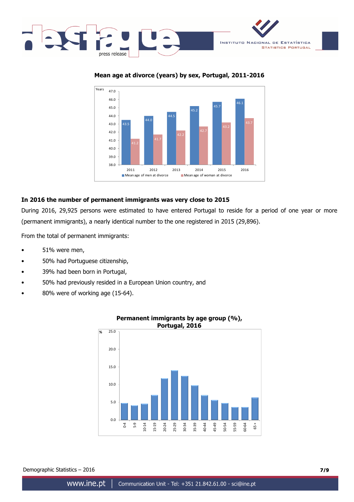





## **In 2016 the number of permanent immigrants was very close to 2015**

During 2016, 29,925 persons were estimated to have entered Portugal to reside for a period of one year or more (permanent immigrants), a nearly identical number to the one registered in 2015 (29,896).

From the total of permanent immigrants:

- 51% were men,
- 50% had Portuguese citizenship,
- 39% had been born in Portugal,
- 50% had previously resided in a European Union country, and
- 80% were of working age (15-64).



# **Permanent immigrants by age group (%), Portugal, 2016**

Demographic Statistics – 2016 **7/9**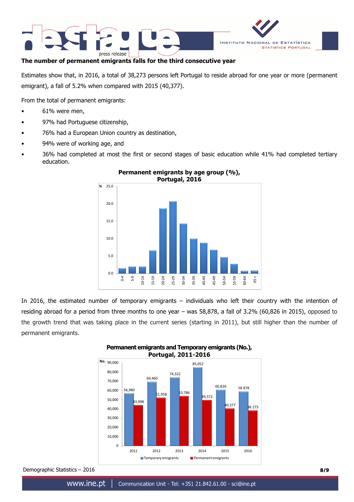



## **The number of permanent emigrants falls for the third consecutive year**

Estimates show that, in 2016, a total of 38,273 persons left Portugal to reside abroad for one year or more (permanent emigrant), a fall of 5.2% when compared with 2015 (40,377).

From the total of permanent emigrants:

- 61% were men,
- 97% had Portuguese citizenship,
- 76% had a European Union country as destination,
- 94% were of working age, and
- 36% had completed at most the first or second stages of basic education while 41% had completed tertiary education.



## **Permanent emigrants by age group (%), Portugal, 2016**

In 2016, the estimated number of temporary emigrants – individuals who left their country with the intention of residing abroad for a period from three months to one year – was 58,878, a fall of 3.2% (60,826 in 2015), opposed to the growth trend that was taking place in the current series (starting in 2011), but still higher than the number of permanent emigrants.



# **Permanent emigrants and Temporary emigrants (No.), Portugal, 2011-2016**

Demographic Statistics – 2016 **8/9**